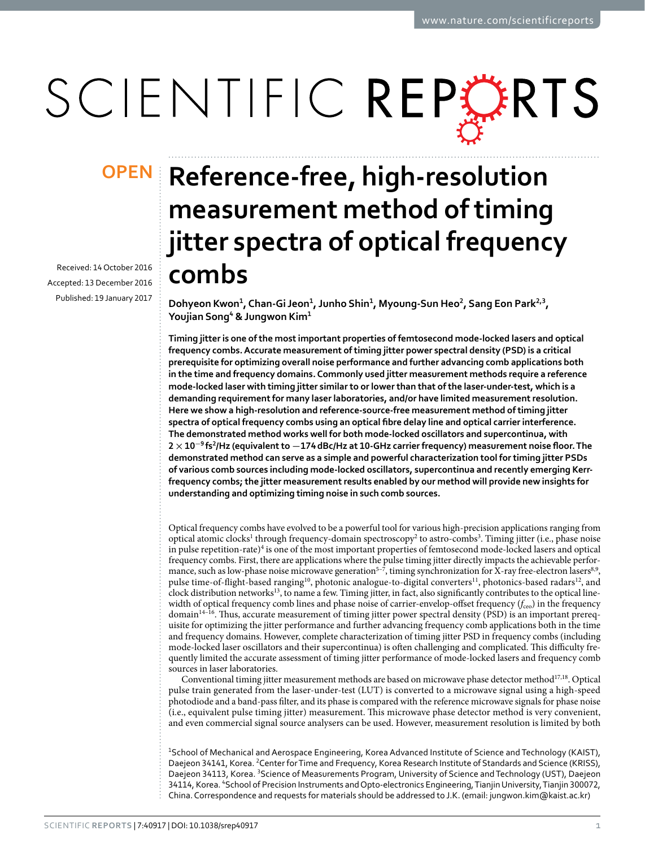# SCIENTIFIC REPERTS

Received: 14 October 2016 accepted: 13 December 2016 Published: 19 January 2017

## **OPEN** Reference-free, high-resolution **measurement method of timing jitter spectra of optical frequency combs**

**Dohyeon Kwon<sup>1</sup>, Chan-Gi Jeon<sup>1</sup>, Junho Shin<sup>1</sup>, Myoung-Sun Heo<sup>2</sup>, Sang Eon Park<sup>2</sup>,<sup>3</sup>, Youjian Song<sup>4</sup> & Jungwon Kim<sup>1</sup>**

**Timing jitter is one of the most important properties of femtosecond mode-locked lasers and optical frequency combs. Accurate measurement of timing jitter power spectral density (PSD) is a critical prerequisite for optimizing overall noise performance and further advancing comb applications both in the time and frequency domains. Commonly used jitter measurement methods require a reference mode-locked laser with timing jitter similar to or lower than that of the laser-under-test, which is a demanding requirement for many laser laboratories, and/or have limited measurement resolution. Here we show a high-resolution and reference-source-free measurement method of timing jitter spectra of optical frequency combs using an optical fibre delay line and optical carrier interference. The demonstrated method works well for both mode-locked oscillators and supercontinua, with 2×10<sup>−</sup><sup>9</sup> fs<sup>2</sup>/Hz (equivalent to −174dBc/Hz at 10-GHz carrier frequency) measurement noise floor. The demonstrated method can serve as a simple and powerful characterization tool for timing jitter PSDs of various comb sources including mode-locked oscillators, supercontinua and recently emerging Kerrfrequency combs; the jitter measurement results enabled by our method will provide new insights for understanding and optimizing timing noise in such comb sources.**

Optical frequency combs have evolved to be a powerful tool for various high-precision applications ranging from optical atomic clocks<sup>[1](#page-6-0)</sup> through frequency-domain spectroscopy<sup>[2](#page-6-1)</sup> to astro-combs<sup>3</sup>. Timing jitter (i.e., phase noise in pulse repetition-rate)<sup>[4](#page-6-3)</sup> is one of the most important properties of femtosecond mode-locked lasers and optical frequency combs. First, there are applications where the pulse timing jitter directly impacts the achievable perfor-mance, such as low-phase noise microwave generation<sup>5-7</sup>, timing synchronization for X-ray free-electron lasers<sup>[8](#page-6-5),9</sup>, pulse time-of-flight-based ranging<sup>10</sup>, photonic analogue-to-digital converters<sup>11</sup>, photonics-based radars<sup>12</sup>, and clock distribution networks[13](#page-6-10), to name a few. Timing jitter, in fact, also significantly contributes to the optical linewidth of optical frequency comb lines and phase noise of carrier-envelop-offset frequency ( $f_{ce0}$ ) in the frequency domain<sup>[14–16](#page-6-11)</sup>. Thus, accurate measurement of timing jitter power spectral density (PSD) is an important prerequisite for optimizing the jitter performance and further advancing frequency comb applications both in the time and frequency domains. However, complete characterization of timing jitter PSD in frequency combs (including mode-locked laser oscillators and their supercontinua) is often challenging and complicated. This difficulty frequently limited the accurate assessment of timing jitter performance of mode-locked lasers and frequency comb sources in laser laboratories.

Conventional timing jitter measurement methods are based on microwave phase detector method $^{17,18}$  $^{17,18}$  $^{17,18}$ . Optical pulse train generated from the laser-under-test (LUT) is converted to a microwave signal using a high-speed photodiode and a band-pass filter, and its phase is compared with the reference microwave signals for phase noise (i.e., equivalent pulse timing jitter) measurement. This microwave phase detector method is very convenient, and even commercial signal source analysers can be used. However, measurement resolution is limited by both

<sup>1</sup>School of Mechanical and Aerospace Engineering, Korea Advanced Institute of Science and Technology (KAIST), Daejeon 34141, Korea. <sup>2</sup> Center for Time and Frequency, Korea Research Institute of Standards and Science (KRISS), Daejeon 34113, Korea. <sup>3</sup>Science of Measurements Program, University of Science and Technology (UST), Daejeon 34114, Korea. "School of Precision Instruments and Opto-electronics Engineering, Tianjin University, Tianjin 300072, China. Correspondence and requests for materials should be addressed to J.K. (email: [jungwon.kim@kaist.ac.kr\)](mailto:jungwon.kim@kaist.ac.kr)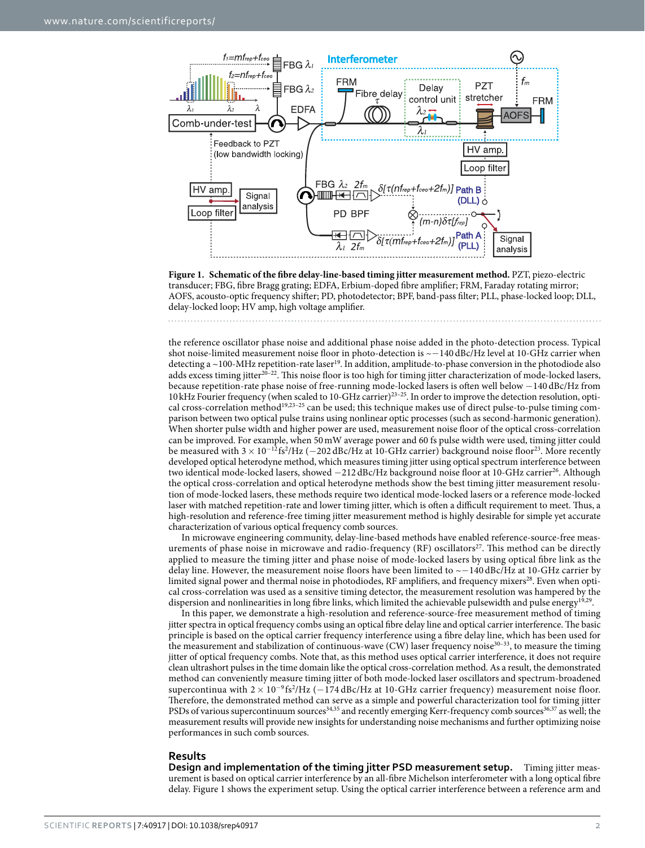

<span id="page-1-0"></span>**Figure 1. Schematic of the fibre delay-line-based timing jitter measurement method.** PZT, piezo-electric transducer; FBG, fibre Bragg grating; EDFA, Erbium-doped fibre amplifier; FRM, Faraday rotating mirror; AOFS, acousto-optic frequency shifter; PD, photodetector; BPF, band-pass filter; PLL, phase-locked loop; DLL, delay-locked loop; HV amp, high voltage amplifier.

the reference oscillator phase noise and additional phase noise added in the photo-detection process. Typical shot noise-limited measurement noise floor in photo-detection is ~−140 dBc/Hz level at 10-GHz carrier when detecting a  $\sim$ 100-MHz repetition-rate laser<sup>[19](#page-7-2)</sup>. In addition, amplitude-to-phase conversion in the photodiode also adds excess timing jitter<sup>20–22</sup>. This noise floor is too high for timing jitter characterization of mode-locked lasers, because repetition-rate phase noise of free-running mode-locked lasers is often well below −140 dBc/Hz from 10kHz Fourier frequency (when scaled to 10-GHz carrier[\)23–25](#page-7-4). In order to improve the detection resolution, opti-cal cross-correlation method<sup>[19,](#page-7-2)23-25</sup> can be used; this technique makes use of direct pulse-to-pulse timing comparison between two optical pulse trains using nonlinear optic processes (such as second-harmonic generation). When shorter pulse width and higher power are used, measurement noise floor of the optical cross-correlation can be improved. For example, when 50mW average power and 60 fs pulse width were used, timing jitter could be measured with  $3 \times 10^{-12}$ fs<sup>2</sup>/Hz (−202 dBc/Hz at 10-GHz carrier) background noise floor<sup>23</sup>. More recently developed optical heterodyne method, which measures timing jitter using optical spectrum interference between two identical mode-locked lasers, showed −212 dBc/Hz background noise floor at 10-GHz carrie[r26.](#page-7-5) Although the optical cross-correlation and optical heterodyne methods show the best timing jitter measurement resolution of mode-locked lasers, these methods require two identical mode-locked lasers or a reference mode-locked laser with matched repetition-rate and lower timing jitter, which is often a difficult requirement to meet. Thus, a high-resolution and reference-free timing jitter measurement method is highly desirable for simple yet accurate characterization of various optical frequency comb sources.

In microwave engineering community, delay-line-based methods have enabled reference-source-free measurements of phase noise in microwave and radio-frequency (RF) oscillators<sup>27</sup>. This method can be directly applied to measure the timing jitter and phase noise of mode-locked lasers by using optical fibre link as the delay line. However, the measurement noise floors have been limited to ~−140 dBc/Hz at 10-GHz carrier by limited signal power and thermal noise in photodiodes, RF amplifiers, and frequency mixers<sup>28</sup>. Even when optical cross-correlation was used as a sensitive timing detector, the measurement resolution was hampered by the dispersion and nonlinearities in long fibre links, which limited the achievable pulsewidth and pulse energy<sup>19,29</sup>.

In this paper, we demonstrate a high-resolution and reference-source-free measurement method of timing jitter spectra in optical frequency combs using an optical fibre delay line and optical carrier interference. The basic principle is based on the optical carrier frequency interference using a fibre delay line, which has been used for the measurement and stabilization of continuous-wave (CW) laser frequency noise<sup>30–33</sup>, to measure the timing jitter of optical frequency combs. Note that, as this method uses optical carrier interference, it does not require clean ultrashort pulses in the time domain like the optical cross-correlation method. As a result, the demonstrated method can conveniently measure timing jitter of both mode-locked laser oscillators and spectrum-broadened supercontinua with  $2 \times 10^{-9}$ fs<sup>2</sup>/Hz (−174 dBc/Hz at 10-GHz carrier frequency) measurement noise floor. Therefore, the demonstrated method can serve as a simple and powerful characterization tool for timing jitter PSDs of various supercontinuum sources<sup>34,35</sup> and recently emerging Kerr-frequency comb sources<sup>[36](#page-7-12),[37](#page-7-13)</sup> as well; the measurement results will provide new insights for understanding noise mechanisms and further optimizing noise performances in such comb sources.

#### **Results**

**Design and implementation of the timing jitter PSD measurement setup.** Timing jitter measurement is based on optical carrier interference by an all-fibre Michelson interferometer with a long optical fibre delay. [Figure 1](#page-1-0) shows the experiment setup. Using the optical carrier interference between a reference arm and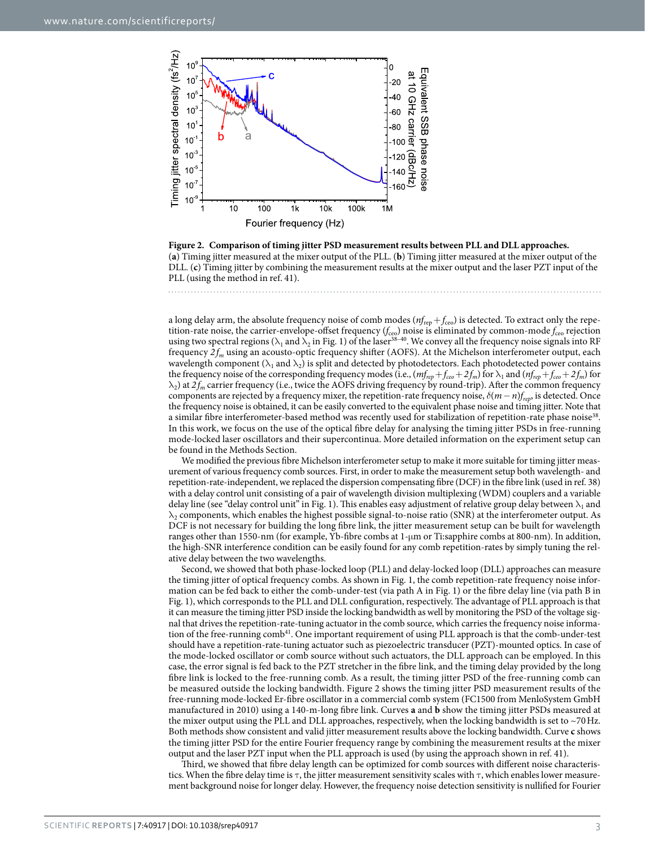

<span id="page-2-0"></span>**Figure 2. Comparison of timing jitter PSD measurement results between PLL and DLL approaches.**  (**a**) Timing jitter measured at the mixer output of the PLL. (**b**) Timing jitter measured at the mixer output of the DLL. (**c**) Timing jitter by combining the measurement results at the mixer output and the laser PZT input of the PLL (using the method in ref. [41](#page-7-15)).

a long delay arm, the absolute frequency noise of comb modes ( $nf_{\rm rep} + f_{\rm ceo}$ ) is detected. To extract only the repetition-rate noise, the carrier-envelope-offset frequency (*f*ceo) noise is eliminated by common-mode *f*ceo rejection using two spectral regions ( $\lambda_1$  and  $\lambda_2$  in [Fig. 1](#page-1-0)) of the laser<sup>38–40</sup>. We convey all the frequency noise signals into RF frequency  $2f_m$  using an acousto-optic frequency shifter (AOFS). At the Michelson interferometer output, each wavelength component ( $\lambda_1$  and  $\lambda_2$ ) is split and detected by photodetectors. Each photodetected power contains the frequency noise of the corresponding frequency modes (i.e.,  $(m_{rep} + f_{ceo} + 2f_m)$  for  $\lambda_1$  and  $(m_{rep} + f_{ceo} + 2f_m)$  for  $\lambda_2$ ) at  $2f_m$  carrier frequency (i.e., twice the AOFS driving frequency by round-trip). After the common frequency components are rejected by a frequency mixer, the repetition-rate frequency noise, *δ*(*m*−*n*)*frep*, is detected. Once the frequency noise is obtained, it can be easily converted to the equivalent phase noise and timing jitter. Note that a similar fibre interferometer-based method was recently used for stabilization of repetition-rate phase noise<sup>38</sup>. In this work, we focus on the use of the optical fibre delay for analysing the timing jitter PSDs in free-running mode-locked laser oscillators and their supercontinua. More detailed information on the experiment setup can be found in the Methods Section.

We modified the previous fibre Michelson interferometer setup to make it more suitable for timing jitter measurement of various frequency comb sources. First, in order to make the measurement setup both wavelength- and repetition-rate-independent, we replaced the dispersion compensating fibre (DCF) in the fibre link (used in ref. [38\)](#page-7-14) with a delay control unit consisting of a pair of wavelength division multiplexing (WDM) couplers and a variable delay line (see "delay control unit" in [Fig. 1](#page-1-0)). This enables easy adjustment of relative group delay between  $\lambda_1$  and  $\lambda_2$  components, which enables the highest possible signal-to-noise ratio (SNR) at the interferometer output. As DCF is not necessary for building the long fibre link, the jitter measurement setup can be built for wavelength ranges other than 1550-nm (for example, Yb-fibre combs at 1-μm or Ti:sapphire combs at 800-nm). In addition, the high-SNR interference condition can be easily found for any comb repetition-rates by simply tuning the relative delay between the two wavelengths.

Second, we showed that both phase-locked loop (PLL) and delay-locked loop (DLL) approaches can measure the timing jitter of optical frequency combs. As shown in [Fig. 1](#page-1-0), the comb repetition-rate frequency noise information can be fed back to either the comb-under-test (via path A in [Fig. 1](#page-1-0)) or the fibre delay line (via path B in [Fig. 1](#page-1-0)), which corresponds to the PLL and DLL configuration, respectively. The advantage of PLL approach is that it can measure the timing jitter PSD inside the locking bandwidth as well by monitoring the PSD of the voltage signal that drives the repetition-rate-tuning actuator in the comb source, which carries the frequency noise information of the free-running comb<sup>41</sup>. One important requirement of using PLL approach is that the comb-under-test should have a repetition-rate-tuning actuator such as piezoelectric transducer (PZT)-mounted optics. In case of the mode-locked oscillator or comb source without such actuators, the DLL approach can be employed. In this case, the error signal is fed back to the PZT stretcher in the fibre link, and the timing delay provided by the long fibre link is locked to the free-running comb. As a result, the timing jitter PSD of the free-running comb can be measured outside the locking bandwidth. [Figure 2](#page-2-0) shows the timing jitter PSD measurement results of the free-running mode-locked Er-fibre oscillator in a commercial comb system (FC1500 from MenloSystem GmbH manufactured in 2010) using a 140-m-long fibre link. Curves **a** and **b** show the timing jitter PSDs measured at the mixer output using the PLL and DLL approaches, respectively, when the locking bandwidth is set to  $\sim$ 70Hz. Both methods show consistent and valid jitter measurement results above the locking bandwidth. Curve **c** shows the timing jitter PSD for the entire Fourier frequency range by combining the measurement results at the mixer output and the laser PZT input when the PLL approach is used (by using the approach shown in ref. [41](#page-7-15)).

Third, we showed that fibre delay length can be optimized for comb sources with different noise characteristics. When the fibre delay time is  $\tau$ , the jitter measurement sensitivity scales with  $\tau$ , which enables lower measurement background noise for longer delay. However, the frequency noise detection sensitivity is nullified for Fourier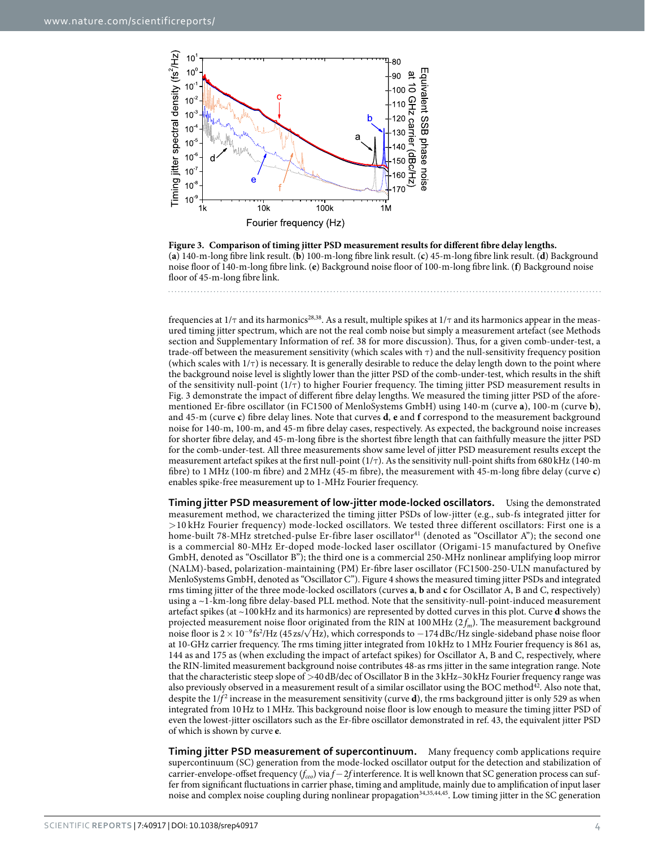

<span id="page-3-0"></span>**Figure 3. Comparison of timing jitter PSD measurement results for different fibre delay lengths.**  (**a**) 140-m-long fibre link result. (**b**) 100-m-long fibre link result. (**c**) 45-m-long fibre link result. (**d**) Background noise floor of 140-m-long fibre link. (**e**) Background noise floor of 100-m-long fibre link. (**f**) Background noise floor of 45-m-long fibre link.

frequencies at  $1/\tau$  and its harmonics<sup>28,38</sup>. As a result, multiple spikes at  $1/\tau$  and its harmonics appear in the measured timing jitter spectrum, which are not the real comb noise but simply a measurement artefact (see Methods section and Supplementary Information of ref. [38](#page-7-14) for more discussion). Thus, for a given comb-under-test, a trade-off between the measurement sensitivity (which scales with τ) and the null-sensitivity frequency position (which scales with  $1/\tau$ ) is necessary. It is generally desirable to reduce the delay length down to the point where the background noise level is slightly lower than the jitter PSD of the comb-under-test, which results in the shift of the sensitivity null-point  $(1/\tau)$  to higher Fourier frequency. The timing jitter PSD measurement results in [Fig. 3](#page-3-0) demonstrate the impact of different fibre delay lengths. We measured the timing jitter PSD of the aforementioned Er-fibre oscillator (in FC1500 of MenloSystems GmbH) using 140-m (curve **a**), 100-m (curve **b**), and 45-m (curve **c**) fibre delay lines. Note that curves **d**, **e** and **f** correspond to the measurement background noise for 140-m, 100-m, and 45-m fibre delay cases, respectively. As expected, the background noise increases for shorter fibre delay, and 45-m-long fibre is the shortest fibre length that can faithfully measure the jitter PSD for the comb-under-test. All three measurements show same level of jitter PSD measurement results except the measurement artefact spikes at the first null-point  $(1/\tau)$ . As the sensitivity null-point shifts from 680 kHz (140-m) fibre) to 1MHz (100-m fibre) and 2MHz (45-m fibre), the measurement with 45-m-long fibre delay (curve **c**) enables spike-free measurement up to 1-MHz Fourier frequency.

**Timing jitter PSD measurement of low-jitter mode-locked oscillators.** Using the demonstrated measurement method, we characterized the timing jitter PSDs of low-jitter (e.g., sub-fs integrated jitter for >10 kHz Fourier frequency) mode-locked oscillators. We tested three different oscillators: First one is a home-built 78-MHz stretched-pulse Er-fibre laser oscillator<sup>[41](#page-7-15)</sup> (denoted as "Oscillator A"); the second one is a commercial 80-MHz Er-doped mode-locked laser oscillator (Origami-15 manufactured by Onefive GmbH, denoted as "Oscillator B"); the third one is a commercial 250-MHz nonlinear amplifying loop mirror (NALM)-based, polarization-maintaining (PM) Er-fibre laser oscillator (FC1500-250-ULN manufactured by MenloSystems GmbH, denoted as "Oscillator C"). [Figure 4](#page-4-0) shows the measured timing jitter PSDs and integrated rms timing jitter of the three mode-locked oscillators (curves **a**, **b** and **c** for Oscillator A, B and C, respectively) using a ~1-km-long fibre delay-based PLL method. Note that the sensitivity-null-point-induced measurement artefact spikes (at ~100 kHz and its harmonics) are represented by dotted curves in this plot. Curve **d** shows the projected measurement noise floor originated from the RIN at 100 MHz ( $2f_m$ ). The measurement background noise floor is 2 × 10<sup>-9</sup> fs<sup>2</sup>/Hz (45 zs/√Hz), which corresponds to −174 dBc/Hz single-sideband phase noise floor at 10-GHz carrier frequency. The rms timing jitter integrated from 10 kHz to 1MHz Fourier frequency is 861 as, 144 as and 175 as (when excluding the impact of artefact spikes) for Oscillator A, B and C, respectively, where the RIN-limited measurement background noise contributes 48-as rms jitter in the same integration range. Note that the characteristic steep slope of >40dB/dec of Oscillator B in the 3kHz–30kHz Fourier frequency range was also previously observed in a measurement result of a similar oscillator using the BOC method<sup>[42](#page-7-16)</sup>. Also note that, despite the  $1/f^2$  increase in the measurement sensitivity (curve **d**), the rms background jitter is only 529 as when integrated from 10Hz to 1MHz. This background noise floor is low enough to measure the timing jitter PSD of even the lowest-jitter oscillators such as the Er-fibre oscillator demonstrated in ref. [43](#page-7-17), the equivalent jitter PSD of which is shown by curve **e**.

**Timing jitter PSD measurement of supercontinuum.** Many frequency comb applications require supercontinuum (SC) generation from the mode-locked oscillator output for the detection and stabilization of carrier-envelope-offset frequency (*f<sub>ceo</sub>*) via *f*−2*f* interference. It is well known that SC generation process can suffer from significant fluctuations in carrier phase, timing and amplitude, mainly due to amplification of input laser noise and complex noise coupling during nonlinear propagation<sup>34,[35,](#page-7-11)[44,](#page-7-18)45</sup>. Low timing jitter in the SC generation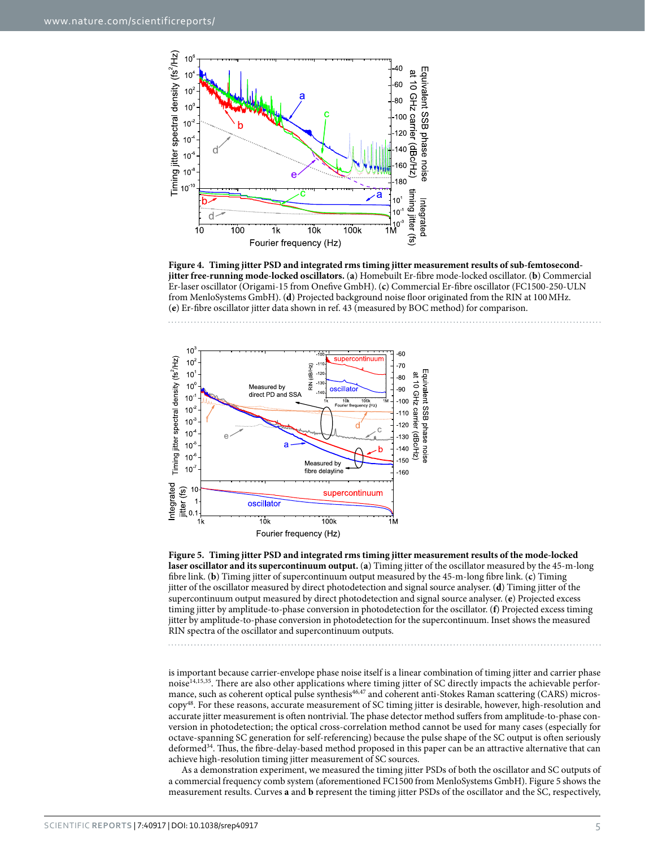

<span id="page-4-0"></span>**Figure 4. Timing jitter PSD and integrated rms timing jitter measurement results of sub-femtosecondjitter free-running mode-locked oscillators.** (**a**) Homebuilt Er-fibre mode-locked oscillator. (**b**) Commercial Er-laser oscillator (Origami-15 from Onefive GmbH). (**c**) Commercial Er-fibre oscillator (FC1500-250-ULN from MenloSystems GmbH). (**d**) Projected background noise floor originated from the RIN at 100MHz. (**e**) Er-fibre oscillator jitter data shown in ref. [43](#page-7-17) (measured by BOC method) for comparison.



<span id="page-4-1"></span>

is important because carrier-envelope phase noise itself is a linear combination of timing jitter and carrier phase noise<sup>[14,](#page-6-11)[15](#page-6-12),35</sup>. There are also other applications where timing jitter of SC directly impacts the achievable performance, such as coherent optical pulse synthesis<sup>46,47</sup> and coherent anti-Stokes Raman scattering (CARS) microscopy[48.](#page-7-22) For these reasons, accurate measurement of SC timing jitter is desirable, however, high-resolution and accurate jitter measurement is often nontrivial. The phase detector method suffers from amplitude-to-phase conversion in photodetection; the optical cross-correlation method cannot be used for many cases (especially for octave-spanning SC generation for self-referencing) because the pulse shape of the SC output is often seriously deformed[34.](#page-7-10) Thus, the fibre-delay-based method proposed in this paper can be an attractive alternative that can achieve high-resolution timing jitter measurement of SC sources.

As a demonstration experiment, we measured the timing jitter PSDs of both the oscillator and SC outputs of a commercial frequency comb system (aforementioned FC1500 from MenloSystems GmbH). [Figure 5](#page-4-1) shows the measurement results. Curves **a** and **b** represent the timing jitter PSDs of the oscillator and the SC, respectively,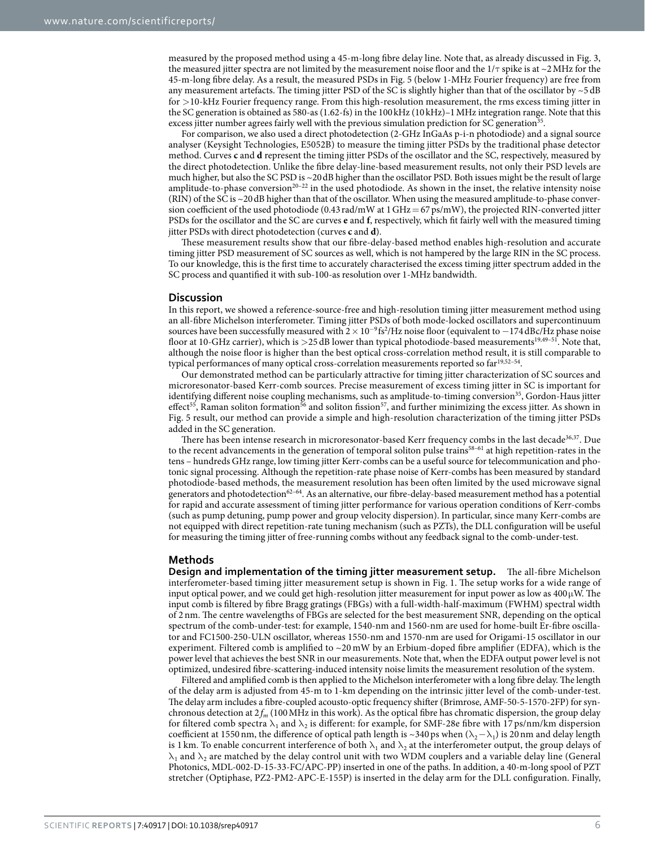measured by the proposed method using a 45-m-long fibre delay line. Note that, as already discussed in [Fig. 3,](#page-3-0) the measured jitter spectra are not limited by the measurement noise floor and the  $1/\tau$  spike is at ~2 MHz for the 45-m-long fibre delay. As a result, the measured PSDs in [Fig. 5](#page-4-1) (below 1-MHz Fourier frequency) are free from any measurement artefacts. The timing jitter PSD of the SC is slightly higher than that of the oscillator by  $\sim$  5 dB for >10-kHz Fourier frequency range. From this high-resolution measurement, the rms excess timing jitter in the SC generation is obtained as 580-as (1.62-fs) in the 100kHz (10kHz)–1MHz integration range. Note that this excess jitter number agrees fairly well with the previous simulation prediction for SC generation<sup>35</sup>

For comparison, we also used a direct photodetection (2-GHz InGaAs p-i-n photodiode) and a signal source analyser (Keysight Technologies, E5052B) to measure the timing jitter PSDs by the traditional phase detector method. Curves **c** and **d** represent the timing jitter PSDs of the oscillator and the SC, respectively, measured by the direct photodetection. Unlike the fibre delay-line-based measurement results, not only their PSD levels are much higher, but also the SC PSD is ~20dB higher than the oscillator PSD. Both issues might be the result of large amplitude-to-phase conversion<sup>20-22</sup> in the used photodiode. As shown in the inset, the relative intensity noise (RIN) of the SC is ~20dB higher than that of the oscillator. When using the measured amplitude-to-phase conversion coefficient of the used photodiode (0.43 rad/mW at 1 GHz = 67 ps/mW), the projected RIN-converted jitter PSDs for the oscillator and the SC are curves **e** and **f**, respectively, which fit fairly well with the measured timing jitter PSDs with direct photodetection (curves **c** and **d**).

These measurement results show that our fibre-delay-based method enables high-resolution and accurate timing jitter PSD measurement of SC sources as well, which is not hampered by the large RIN in the SC process. To our knowledge, this is the first time to accurately characterised the excess timing jitter spectrum added in the SC process and quantified it with sub-100-as resolution over 1-MHz bandwidth.

#### **Discussion**

In this report, we showed a reference-source-free and high-resolution timing jitter measurement method using an all-fibre Michelson interferometer. Timing jitter PSDs of both mode-locked oscillators and supercontinuum sources have been successfully measured with  $2 \times 10^{-9}$  fs<sup>2</sup>/Hz noise floor (equivalent to  $-174$  dBc/Hz phase noise floor at 10-GHz carrier), which is >25 dB lower than typical photodiode-based measurements<sup>19,49–51</sup>. Note that, although the noise floor is higher than the best optical cross-correlation method result, it is still comparable to typical performances of many optical cross-correlation measurements reported so far<sup>19,52-54</sup>.

Our demonstrated method can be particularly attractive for timing jitter characterization of SC sources and microresonator-based Kerr-comb sources. Precise measurement of excess timing jitter in SC is important for identifying different noise coupling mechanisms, such as amplitude-to-timing conversion<sup>[35](#page-7-11)</sup>, Gordon-Haus jitter effect<sup>55</sup>, Raman soliton formation<sup>56</sup> and soliton fission<sup>57</sup>, and further minimizing the excess jitter. As shown in [Fig. 5](#page-4-1) result, our method can provide a simple and high-resolution characterization of the timing jitter PSDs added in the SC generation.

There has been intense research in microresonator-based Kerr frequency combs in the last decade<sup>36[,37](#page-7-13)</sup>. Due to the recent advancements in the generation of temporal soliton pulse trains<sup>58-61</sup> at high repetition-rates in the tens – hundreds GHz range, low timing jitter Kerr-combs can be a useful source for telecommunication and photonic signal processing. Although the repetition-rate phase noise of Kerr-combs has been measured by standard photodiode-based methods, the measurement resolution has been often limited by the used microwave signal generators and photodetection<sup>62-64</sup>. As an alternative, our fibre-delay-based measurement method has a potential for rapid and accurate assessment of timing jitter performance for various operation conditions of Kerr-combs (such as pump detuning, pump power and group velocity dispersion). In particular, since many Kerr-combs are not equipped with direct repetition-rate tuning mechanism (such as PZTs), the DLL configuration will be useful for measuring the timing jitter of free-running combs without any feedback signal to the comb-under-test.

#### **Methods**

**Design and implementation of the timing jitter measurement setup.** The all-fibre Michelson interferometer-based timing jitter measurement setup is shown in [Fig. 1.](#page-1-0) The setup works for a wide range of input optical power, and we could get high-resolution jitter measurement for input power as low as  $400 \mu$ W. The input comb is filtered by fibre Bragg gratings (FBGs) with a full-width-half-maximum (FWHM) spectral width of 2nm. The centre wavelengths of FBGs are selected for the best measurement SNR, depending on the optical spectrum of the comb-under-test: for example, 1540-nm and 1560-nm are used for home-built Er-fibre oscillator and FC1500-250-ULN oscillator, whereas 1550-nm and 1570-nm are used for Origami-15 oscillator in our experiment. Filtered comb is amplified to  $\sim$  20 mW by an Erbium-doped fibre amplifier (EDFA), which is the power level that achieves the best SNR in our measurements. Note that, when the EDFA output power level is not optimized, undesired fibre-scattering-induced intensity noise limits the measurement resolution of the system.

Filtered and amplified comb is then applied to the Michelson interferometer with a long fibre delay. The length of the delay arm is adjusted from 45-m to 1-km depending on the intrinsic jitter level of the comb-under-test. The delay arm includes a fibre-coupled acousto-optic frequency shifter (Brimrose, AMF-50-5-1570-2FP) for synchronous detection at  $2 f_m$  (100 MHz in this work). As the optical fibre has chromatic dispersion, the group delay for filtered comb spectra  $\lambda_1$  and  $\lambda_2$  is different: for example, for SMF-28e fibre with 17 ps/nm/km dispersion coefficient at 1550 nm, the difference of optical path length is ~340 ps when ( $\lambda_2 - \lambda_1$ ) is 20 nm and delay length is 1 km. To enable concurrent interference of both  $\lambda_1$  and  $\lambda_2$  at the interferometer output, the group delays of  $\lambda_1$  and  $\lambda_2$  are matched by the delay control unit with two WDM couplers and a variable delay line (General Photonics, MDL-002-D-15-33-FC/APC-PP) inserted in one of the paths. In addition, a 40-m-long spool of PZT stretcher (Optiphase, PZ2-PM2-APC-E-155P) is inserted in the delay arm for the DLL configuration. Finally,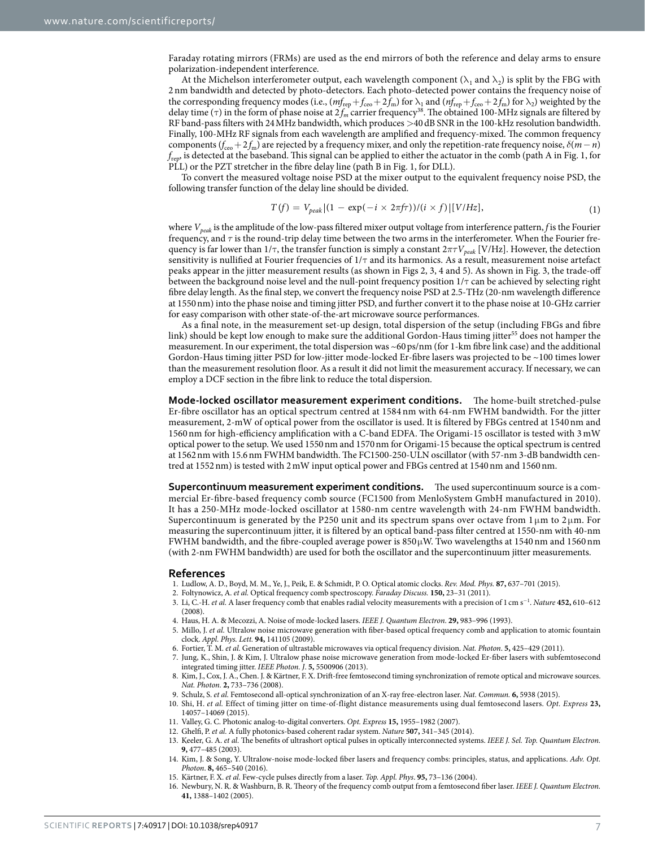Faraday rotating mirrors (FRMs) are used as the end mirrors of both the reference and delay arms to ensure polarization-independent interference.

At the Michelson interferometer output, each wavelength component ( $\lambda_1$  and  $\lambda_2$ ) is split by the FBG with 2 nm bandwidth and detected by photo-detectors. Each photo-detected power contains the frequency noise of the corresponding frequency modes (i.e.,  $(mf_{\rm rep}+f_{\rm ceo}+2f_m)$  for  $\lambda_1$  and  $(mf_{\rm rep}+f_{\rm ceo}+2f_m)$  for  $\lambda_2$ ) weighted by the delay time ( $\tau$ ) in the form of phase noise at  $2 f_m$  carrier frequency<sup>38</sup>. The obtained 100-MHz signals are filtered by RF band-pass filters with 24MHz bandwidth, which produces >40dB SNR in the 100-kHz resolution bandwidth. Finally, 100-MHz RF signals from each wavelength are amplified and frequency-mixed. The common frequency components ( $f_{ceo}$  + 2 $f_m$ ) are rejected by a frequency mixer, and only the repetition-rate frequency noise,  $\delta(m-n)$ *f*rep, is detected at the baseband. This signal can be applied to either the actuator in the comb (path A in [Fig. 1](#page-1-0), for PLL) or the PZT stretcher in the fibre delay line (path B in [Fig. 1,](#page-1-0) for DLL).

To convert the measured voltage noise PSD at the mixer output to the equivalent frequency noise PSD, the following transfer function of the delay line should be divided.

$$
T(f) = V_{peak} \left| (1 - \exp(-i \times 2\pi f \tau)) / (i \times f) \right| [V / Hz], \tag{1}
$$

where *Vpeak* is the amplitude of the low-pass filtered mixer output voltage from interference pattern, *f* is the Fourier frequency, and *τ* is the round-trip delay time between the two arms in the interferometer. When the Fourier frequency is far lower than 1/τ, the transfer function is simply a constant 2*πτVpeak* [V/Hz]. However, the detection sensitivity is nullified at Fourier frequencies of 1/τ and its harmonics. As a result, measurement noise artefact peaks appear in the jitter measurement results (as shown in [Figs 2,](#page-2-0) [3](#page-3-0), [4](#page-4-0) and [5\)](#page-4-1). As shown in [Fig. 3](#page-3-0), the trade-off between the background noise level and the null-point frequency position 1/τ can be achieved by selecting right fibre delay length. As the final step, we convert the frequency noise PSD at 2.5-THz (20-nm wavelength difference at 1550nm) into the phase noise and timing jitter PSD, and further convert it to the phase noise at 10-GHz carrier for easy comparison with other state-of-the-art microwave source performances.

As a final note, in the measurement set-up design, total dispersion of the setup (including FBGs and fibre link) should be kept low enough to make sure the additional Gordon-Haus timing jitter<sup>55</sup> does not hamper the measurement. In our experiment, the total dispersion was ~60ps/nm (for 1-km fibre link case) and the additional Gordon-Haus timing jitter PSD for low-jitter mode-locked Er-fibre lasers was projected to be ~100 times lower than the measurement resolution floor. As a result it did not limit the measurement accuracy. If necessary, we can employ a DCF section in the fibre link to reduce the total dispersion.

**Mode-locked oscillator measurement experiment conditions.** The home-built stretched-pulse Er-fibre oscillator has an optical spectrum centred at 1584 nm with 64-nm FWHM bandwidth. For the jitter measurement, 2-mW of optical power from the oscillator is used. It is filtered by FBGs centred at 1540nm and 1560 nm for high-efficiency amplification with a C-band EDFA. The Origami-15 oscillator is tested with 3 mW optical power to the setup. We used 1550nm and 1570nm for Origami-15 because the optical spectrum is centred at 1562nm with 15.6nm FWHM bandwidth. The FC1500-250-ULN oscillator (with 57-nm 3-dB bandwidth centred at 1552nm) is tested with 2mW input optical power and FBGs centred at 1540nm and 1560nm.

**Supercontinuum measurement experiment conditions.** The used supercontinuum source is a commercial Er-fibre-based frequency comb source (FC1500 from MenloSystem GmbH manufactured in 2010). It has a 250-MHz mode-locked oscillator at 1580-nm centre wavelength with 24-nm FWHM bandwidth. Supercontinuum is generated by the P250 unit and its spectrum spans over octave from 1 μm to 2 μm. For measuring the supercontinuum jitter, it is filtered by an optical band-pass filter centred at 1550-nm with 40-nm FWHM bandwidth, and the fibre-coupled average power is 850μW. Two wavelengths at 1540nm and 1560nm (with 2-nm FWHM bandwidth) are used for both the oscillator and the supercontinuum jitter measurements.

#### **References**

- <span id="page-6-0"></span>1. Ludlow, A. D., Boyd, M. M., Ye, J., Peik, E. & Schmidt, P. O. Optical atomic clocks. *Rev. Mod. Phys.* **87,** 637–701 (2015).
- <span id="page-6-2"></span><span id="page-6-1"></span>2. Foltynowicz, A. *et al.* Optical frequency comb spectroscopy. *Faraday Discuss.* **150,** 23–31 (2011).
- 3. Li, C.-H. *et al.* A laser frequency comb that enables radial velocity measurements with a precision of 1 cm s<sup>−</sup><sup>1</sup> . *Nature* **452,** 610–612  $(2008)$
- <span id="page-6-4"></span><span id="page-6-3"></span>4. Haus, H. A. & Mecozzi, A. Noise of mode-locked lasers. *IEEE J. Quantum Electron*. **29,** 983–996 (1993).
- 5. Millo, J. *et al.* Ultralow noise microwave generation with fiber-based optical frequency comb and application to atomic fountain clock. *Appl. Phys. Lett.* **94,** 141105 (2009).
- 6. Fortier, T. M. *et al.* Generation of ultrastable microwaves via optical frequency division. *Nat. Photon*. **5,** 425–429 (2011).
- 7. Jung, K., Shin, J. & Kim, J. Ultralow phase noise microwave generation from mode-locked Er-fiber lasers with subfemtosecond integrated timing jitter. *IEEE Photon. J*. **5,** 5500906 (2013).
- <span id="page-6-5"></span>8. Kim, J., Cox, J. A., Chen. J. & Kärtner, F. X. Drift-free femtosecond timing synchronization of remote optical and microwave sources. *Nat. Photon.* **2,** 733–736 (2008).
- <span id="page-6-6"></span>9. Schulz, S. *et al.* Femtosecond all-optical synchronization of an X-ray free-electron laser. *Nat. Commun.* **6,** 5938 (2015).
- <span id="page-6-7"></span>10. Shi, H. *et al.* Effect of timing jitter on time-of-flight distance measurements using dual femtosecond lasers. *Opt. Express* **23,** 14057–14069 (2015).
- <span id="page-6-9"></span><span id="page-6-8"></span>11. Valley, G. C. Photonic analog-to-digital converters. *Opt. Express* **15,** 1955–1982 (2007).
- 12. Ghelfi, P. *et al.* A fully photonics-based coherent radar system. *Nature* **507,** 341–345 (2014).
- <span id="page-6-10"></span>13. Keeler, G. A. *et al.* The benefits of ultrashort optical pulses in optically interconnected systems. *IEEE J. Sel. Top. Quantum Electron.* **9,** 477–485 (2003).
- <span id="page-6-11"></span>14. Kim, J. & Song, Y. Ultralow-noise mode-locked fiber lasers and frequency combs: principles, status, and applications. *Adv. Opt. Photon*. **8,** 465–540 (2016).
- <span id="page-6-12"></span>15. Kärtner, F. X. *et al.* Few-cycle pulses directly from a laser. *Top. Appl. Phys*. **95,** 73–136 (2004).
- 16. Newbury, N. R. & Washburn, B. R. Theory of the frequency comb output from a femtosecond fiber laser. *IEEE J. Quantum Electron.* **41,** 1388–1402 (2005).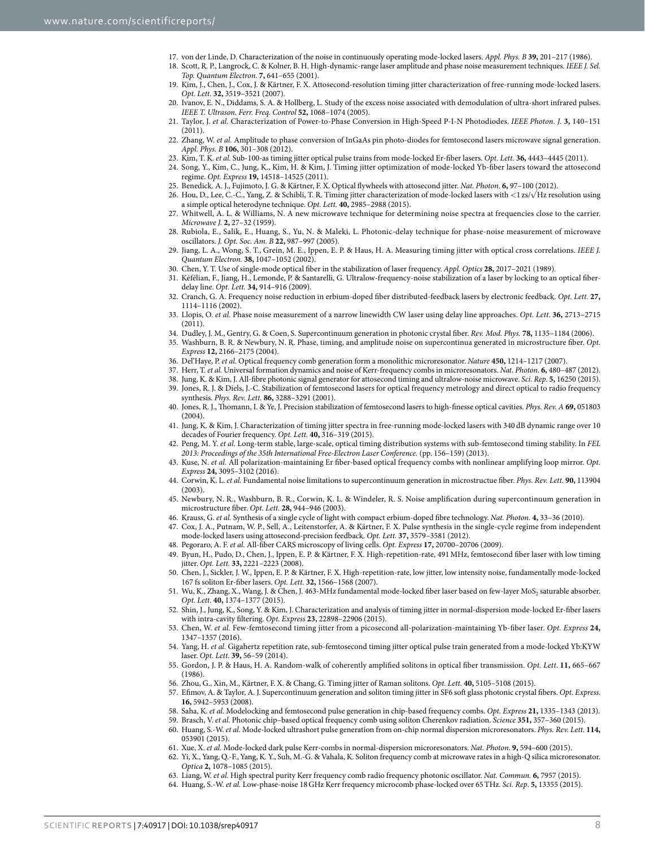- <span id="page-7-1"></span><span id="page-7-0"></span>17. von der Linde, D. Characterization of the noise in continuously operating mode-locked lasers. *Appl. Phys. B* **39,** 201–217 (1986).
- 18. Scott, R. P., Langrock, C. & Kolner, B. H. High-dynamic-range laser amplitude and phase noise measurement techniques. *IEEE J. Sel. Top. Quantum Electron.* **7,** 641–655 (2001).
- <span id="page-7-2"></span>19. Kim, J., Chen, J., Cox, J. & Kärtner, F. X. Attosecond-resolution timing jitter characterization of free-running mode-locked lasers. *Opt. Lett.* **32,** 3519–3521 (2007).
- <span id="page-7-3"></span>20. Ivanov, E. N., Diddams, S. A. & Hollberg, L. Study of the excess noise associated with demodulation of ultra-short infrared pulses. *IEEE T. Ultrason. Ferr. Freq. Control* **52,** 1068–1074 (2005).
- 21. Taylor, J. *et al.* Characterization of Power-to-Phase Conversion in High-Speed P-I-N Photodiodes. *IEEE Photon. J.* **3,** 140–151 (2011).
- 22. Zhang, W. *et al.* Amplitude to phase conversion of InGaAs pin photo-diodes for femtosecond lasers microwave signal generation. *Appl. Phys. B* **106,** 301–308 (2012).
- 23. Kim, T. K. *et al.* Sub-100-as timing jitter optical pulse trains from mode-locked Er-fiber lasers. *Opt. Lett.* **36,** 4443–4445 (2011).
- <span id="page-7-4"></span>24. Song, Y., Kim, C., Jung, K., Kim, H. & Kim, J. Timing jitter optimization of mode-locked Yb-fiber lasers toward the attosecond regime. *Opt. Express* **19,** 14518–14525 (2011).
- 25. Benedick. A. J., Fujimoto, J. G. & Kärtner, F. X. Optical flywheels with attosecond jitter. *Nat. Photon*. **6,** 97–100 (2012).
- <span id="page-7-5"></span>26. Hou, D., Lee, C.-C., Yang, Z. & Schibli, T. R. Timing jitter characterization of mode-locked lasers with <1 zs/√Hz resolution using a simple optical heterodyne technique. *Opt. Lett.* **40,** 2985–2988 (2015).
- <span id="page-7-6"></span>27. Whitwell, A. L. & Williams, N. A new microwave technique for determining noise spectra at frequencies close to the carrier. *Microwave J.* **2,** 27–32 (1959).
- <span id="page-7-7"></span>28. Rubiola, E., Salik, E., Huang, S., Yu, N. & Maleki, L. Photonic-delay technique for phase-noise measurement of microwave oscillators. *J. Opt. Soc. Am. B* **22,** 987–997 (2005).
- <span id="page-7-8"></span>29. Jiang, L. A., Wong, S. T., Grein, M. E., Ippen, E. P. & Haus, H. A. Measuring timing jitter with optical cross correlations. *IEEE J. Quantum Electron.* **38,** 1047–1052 (2002).
- <span id="page-7-9"></span>30. Chen, Y. T. Use of single-mode optical fiber in the stabilization of laser frequency. *Appl. Optics* **28,** 2017–2021 (1989).
- 31. Kéfélian, F., Jiang, H., Lemonde, P. & Santarelli, G. Ultralow-frequency-noise stabilization of a laser by locking to an optical fiberdelay line. *Opt. Lett.* **34,** 914–916 (2009).
- 32. Cranch, G. A. Frequency noise reduction in erbium-doped fiber distributed-feedback lasers by electronic feedback. *Opt. Lett.* **27,** 1114–1116 (2002).
- 33. Llopis, O. *et al.* Phase noise measurement of a narrow linewidth CW laser using delay line approaches. *Opt. Lett*. **36,** 2713–2715  $(2011).$
- <span id="page-7-10"></span>34. Dudley, J. M., Gentry, G. & Coen, S. Supercontinuum generation in photonic crystal fiber. *Rev. Mod. Phys.* **78,** 1135–1184 (2006). 35. Washburn, B. R. & Newbury, N. R. Phase, timing, and amplitude noise on supercontinua generated in microstructure fiber. *Opt.*
- <span id="page-7-12"></span><span id="page-7-11"></span>*Express* **12,** 2166–2175 (2004).
- 36. Del'Haye, P. *et al.* Optical frequency comb generation form a monolithic microresonator. *Nature* **450,** 1214–1217 (2007).
- <span id="page-7-13"></span>37. Herr, T. *et al.* Universal formation dynamics and noise of Kerr-frequency combs in microresonators. *Nat. Photon.* **6,** 480–487 (2012).
- <span id="page-7-14"></span>38. Jung, K. & Kim, J. All-fibre photonic signal generator for attosecond timing and ultralow-noise microwave. *Sci. Rep*. **5,** 16250 (2015). 39. Jones, R. J. & Diels, J.-C. Stabilization of femtosecond lasers for optical frequency metrology and direct optical to radio frequency synthesis. *Phys. Rev. Lett.* **86,** 3288–3291 (2001).
- 40. Jones, R. J., Thomann, I. & Ye, J. Precision stabilization of femtosecond lasers to high-finesse optical cavities. *Phys. Rev. A* **69,** 051803  $(2004)$
- <span id="page-7-15"></span>41. Jung, K. & Kim, J. Characterization of timing jitter spectra in free-running mode-locked lasers with 340 dB dynamic range over 10 decades of Fourier frequency. *Opt. Lett.* **40,** 316–319 (2015).
- <span id="page-7-16"></span>42. Peng, M. Y. *et al.* Long-term stable, large-scale, optical timing distribution systems with sub-femtosecond timing stability. In *FEL 2013: Proceedings of the 35th International Free-Electron Laser Conference.* (pp. 156–159) (2013).
- <span id="page-7-17"></span>43. Kuse, N. *et al.* All polarization-maintaining Er fiber-based optical frequency combs with nonlinear amplifying loop mirror. *Opt. Express* **24,** 3095–3102 (2016).
- <span id="page-7-18"></span>44. Corwin, K. L. *et al.* Fundamental noise limitations to supercontinuum generation in microstructue fiber. *Phys. Rev. Lett.* **90,** 113904 (2003).
- <span id="page-7-19"></span>45. Newbury, N. R., Washburn, B. R., Corwin, K. L. & Windeler, R. S. Noise amplification during supercontinuum generation in microstructure fiber. *Opt. Lett.* **28,** 944–946 (2003).
- <span id="page-7-20"></span>46. Krauss, G. *et al.* Synthesis of a single cycle of light with compact erbium-doped fibre technology. *Nat. Photon.* **4,** 33–36 (2010).
- <span id="page-7-21"></span>47. Cox, J. A., Putnam, W. P., Sell, A., Leitenstorfer, A. & Kärtner, F. X. Pulse synthesis in the single-cycle regime from independent mode-locked lasers using attosecond-precision feedback. *Opt. Lett.* **37,** 3579–3581 (2012).
- <span id="page-7-22"></span>48. Pegoraro, A. F. *et al.* All-fiber CARS microscopy of living cells. *Opt. Express* **17,** 20700–20706 (2009).
- <span id="page-7-23"></span>49. Byun, H., Pudo, D., Chen, J., Ippen, E. P. & Kärtner, F. X. High-repetition-rate, 491MHz, femtosecond fiber laser with low timing jitter. *Opt. Lett.* **33,** 2221–2223 (2008).
- 50. Chen, J., Sickler, J. W., Ippen, E. P. & Kärtner, F. X. High-repetition-rate, low jitter, low intensity noise, fundamentally mode-locked 167 fs soliton Er-fiber lasers. *Opt. Lett.* **32,** 1566–1568 (2007).
- 51. Wu, K., Zhang, X., Wang, J. & Chen, J. 463-MHz fundamental mode-locked fiber laser based on few-layer MoS, saturable absorber. *Opt. Lett.* **40,** 1374–1377 (2015).
- <span id="page-7-24"></span>52. Shin, J., Jung, K., Song, Y. & Kim, J. Characterization and analysis of timing jitter in normal-dispersion mode-locked Er-fiber lasers with intra-cavity filtering. *Opt. Express* **23,** 22898–22906 (2015).
- 53. Chen, W. *et al.* Few-femtosecond timing jitter from a picosecond all-polarization-maintaining Yb-fiber laser. *Opt. Express* **24,** 1347–1357 (2016).
- 54. Yang, H. *et al.* Gigahertz repetition rate, sub-femtosecond timing jitter optical pulse train generated from a mode-locked Yb:KYW laser. *Opt. Lett.* **39,** 56–59 (2014).
- <span id="page-7-25"></span>55. Gordon, J. P. & Haus, H. A. Random-walk of coherently amplified solitons in optical fiber transmission. *Opt. Lett*. **11,** 665–667 (1986).
- <span id="page-7-26"></span>56. Zhou, G., Xin, M., Kärtner, F. X. & Chang, G. Timing jitter of Raman solitons. *Opt. Lett.* **40,** 5105–5108 (2015).
- <span id="page-7-27"></span>57. Efimov, A. & Taylor, A. J. Supercontinuum generation and soliton timing jitter in SF6 soft glass photonic crystal fibers. *Opt. Express.* **16,** 5942–5953 (2008).
- <span id="page-7-28"></span>58. Saha, K. *et al.* Modelocking and femtosecond pulse generation in chip-based frequency combs. *Opt. Express* **21,** 1335–1343 (2013).
- 59. Brasch, V. *et al.* Photonic chip–based optical frequency comb using soliton Cherenkov radiation. *Science* **351,** 357–360 (2015).
- 60. Huang, S.-W. *et al.* Mode-locked ultrashort pulse generation from on-chip normal dispersion microresonators. *Phys. Rev. Lett.* **114,** 053901 (2015).
- 61. Xue, X. *et al.* Mode-locked dark pulse Kerr-combs in normal-dispersion microresonators. *Nat. Photon*. **9,** 594–600 (2015).
- <span id="page-7-29"></span>62. Yi, X., Yang, Q.-F., Yang, K. Y., Suh, M.-G. & Vahala, K. Soliton frequency comb at microwave rates in a high-Q silica microresonator. *Optica* **2,** 1078–1085 (2015).
- 63. Liang, W. *et al.* High spectral purity Kerr frequency comb radio frequency photonic oscillator. *Nat. Commun.* **6,** 7957 (2015).
- 64. Huang, S.-W. *et al.* Low-phase-noise 18GHz Kerr frequency microcomb phase-locked over 65THz. *Sci. Rep*. **5,** 13355 (2015).